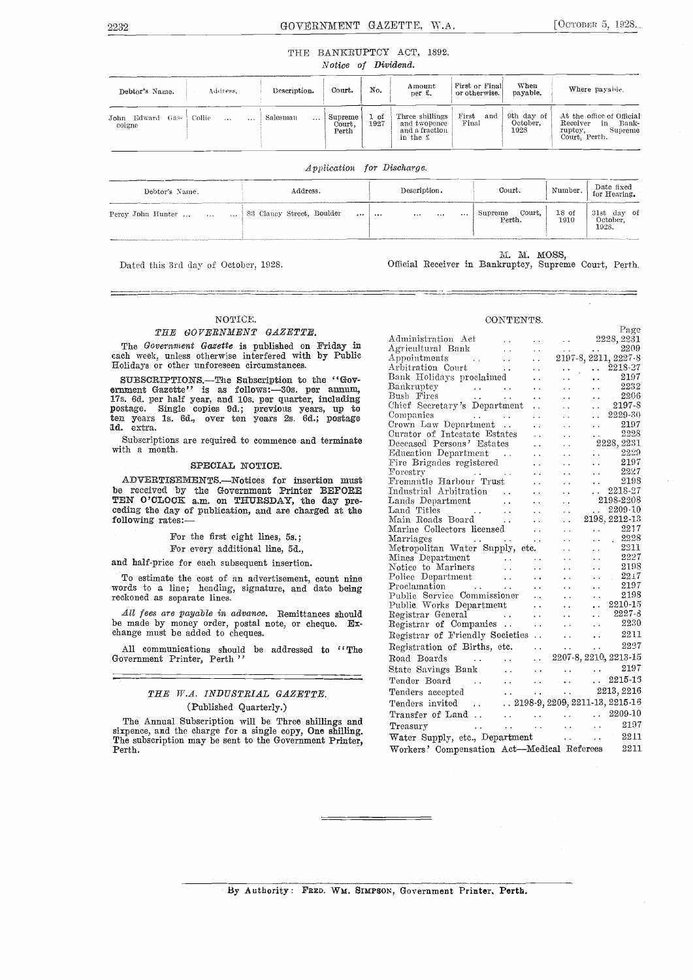### 2232 GOVERNMENT GAZETTE, W.A. [OCTOBER 5, 1928.

#### THE BANKRUPTCY ACT, 1892. Notice of Dividend.

| Debtor's Name.                   | Address.                       | Description.          | Court.                     | No.          | Amount<br>per f.                                              | First or Final<br>or otherwise. | When<br>payable.               | Where payable.                                                                              |
|----------------------------------|--------------------------------|-----------------------|----------------------------|--------------|---------------------------------------------------------------|---------------------------------|--------------------------------|---------------------------------------------------------------------------------------------|
| Edward<br>John<br>Gas-<br>coigne | Collie<br>$\cdots$<br>$\cdots$ | Salesman<br>$\ddotsc$ | Supreme<br>Court.<br>Perth | 1 of<br>1927 | Three shillings<br>and twopence<br>and a fraction<br>in the £ | First<br>and<br>Final           | 9th day of<br>October.<br>1928 | At the office of Official<br>Receiver<br>Bank-<br>in<br>ruptcy,<br>Supreme<br>Court. Perth. |

Application for Discharge.

| Debtor's Name.                                   | Address. | Description.                      | Court.                              | Number. Date fixed<br>for Hearing. |
|--------------------------------------------------|----------|-----------------------------------|-------------------------------------|------------------------------------|
| Percy John Hunter      83 Clancy Street, Boulder | $\cdots$ | and the state of the state of the | Supreme Court, 18 of<br>Perth. 1910 | 31st day of<br>October,<br>1928    |

Dated this 3rd day of October, 1928.

M. M. MOSS,

Official Receiver in Bankruptcy, Supreme Court, Perth.

CONTENTS.

#### NOTICE.

#### THE GOVERNMENT GAZETTE.

The Government Gazette is published on Friday in each week, unless otherwise interfered with by Public Holidays or other unforeseen circumstances.

SUBSCRIPTIONS. The Subscription to the "Government Gazette" is as follows:-30s. per annum, postage. Single copies 9d.; previous years, up to thief<br>ten years 1s. 6d., over ten years 2s. 6d.; postage compare 1d. extra.

Subscriptions are required to commence and terminate with a month.

#### SPECIAL NOTICE.

ADVERTISEMENTS.-Notices for insertion must be received by the Government Printer BEFORE<br>TEN O'CLOCK a.m. on THURSDAY, the day preceding the day of publication, and are charged at the following rates:

For the first eight lines, 5s.;

For every additional line, 5d.,

and half-price for each subsequent insertion.

To estimate the cost of an advertisement, count nine words to a line; heading, signature, and date being reckoned as separate lines.

All fees are payable in advance. Remittances should be made by money order, postal note, or cheque. Exchange must be added to cheques.

All communications should be addressed to "The Government Printer, Perth'

### THE W.A. INDUSTRIAL GAZETTE. (Published Quarterly.)

The Annual Subscription will be Three shillings and sixpence, and the charge for a single copy, One shilling. The subscription may be sent to the Government Printer, Perth.

|                                                                                                                                                                                                                                                                                                                                             |                 |                                                                                                     | Page |  |
|---------------------------------------------------------------------------------------------------------------------------------------------------------------------------------------------------------------------------------------------------------------------------------------------------------------------------------------------|-----------------|-----------------------------------------------------------------------------------------------------|------|--|
| Administration Act   2228, $2231$                                                                                                                                                                                                                                                                                                           |                 |                                                                                                     |      |  |
| Administration Accords<br>Agricultural Bank<br>Arbitration Court<br>Arbitration Court<br>Bank Holidays proclaimed<br>and the contract of the contract of the contract of the contract of the contract of the contract of the contra<br>and                                                                                                  |                 |                                                                                                     |      |  |
|                                                                                                                                                                                                                                                                                                                                             |                 |                                                                                                     |      |  |
|                                                                                                                                                                                                                                                                                                                                             |                 |                                                                                                     |      |  |
|                                                                                                                                                                                                                                                                                                                                             |                 | $\begin{array}{ccc} \ldots & \ldots & \ldots & 2197 \\ \ldots & \ldots & \ldots & 2232 \end{array}$ |      |  |
|                                                                                                                                                                                                                                                                                                                                             | $\sim 10^{-11}$ |                                                                                                     |      |  |
| Bush Fires<br>Chief Secretary's Department<br>Companies<br>Companies<br>Crown Law Department<br>Companies<br>Crown Law Department<br>Companies<br>Crown Law Department<br>Companies<br>2229-30<br>2019                                                                                                                                      |                 |                                                                                                     |      |  |
|                                                                                                                                                                                                                                                                                                                                             |                 |                                                                                                     |      |  |
|                                                                                                                                                                                                                                                                                                                                             |                 |                                                                                                     |      |  |
|                                                                                                                                                                                                                                                                                                                                             |                 |                                                                                                     |      |  |
|                                                                                                                                                                                                                                                                                                                                             |                 |                                                                                                     |      |  |
| Curator of Intestate Estates<br>Deceased Persons' Estates<br>Deceased Persons' Estates<br>Education Department<br>Forestry<br>The Brigades registered<br>The Brigades registered<br>The Sandy Person of Person (2227)<br>The Sandy Person of P                                                                                              |                 |                                                                                                     |      |  |
|                                                                                                                                                                                                                                                                                                                                             |                 |                                                                                                     |      |  |
|                                                                                                                                                                                                                                                                                                                                             |                 |                                                                                                     |      |  |
|                                                                                                                                                                                                                                                                                                                                             |                 |                                                                                                     |      |  |
|                                                                                                                                                                                                                                                                                                                                             |                 |                                                                                                     |      |  |
| Fremantle Harbour Trust<br>Industrial Arbitration<br>Lands Department<br>Lands Department<br>198-2208                                                                                                                                                                                                                                       |                 |                                                                                                     |      |  |
|                                                                                                                                                                                                                                                                                                                                             |                 |                                                                                                     |      |  |
|                                                                                                                                                                                                                                                                                                                                             |                 |                                                                                                     |      |  |
|                                                                                                                                                                                                                                                                                                                                             |                 |                                                                                                     |      |  |
| Transferance March 2018-2208<br>Lands Department<br>Lands Department<br>Main Roads Board<br>Main Roads Board<br>Marine Collectors licensed<br>2019, 2217-13<br>Marine Collectors licensed<br>20217-2217<br>2021                                                                                                                             |                 |                                                                                                     |      |  |
|                                                                                                                                                                                                                                                                                                                                             |                 |                                                                                                     |      |  |
|                                                                                                                                                                                                                                                                                                                                             |                 |                                                                                                     |      |  |
|                                                                                                                                                                                                                                                                                                                                             |                 |                                                                                                     |      |  |
|                                                                                                                                                                                                                                                                                                                                             |                 |                                                                                                     |      |  |
|                                                                                                                                                                                                                                                                                                                                             |                 |                                                                                                     |      |  |
|                                                                                                                                                                                                                                                                                                                                             |                 |                                                                                                     |      |  |
|                                                                                                                                                                                                                                                                                                                                             |                 |                                                                                                     |      |  |
|                                                                                                                                                                                                                                                                                                                                             |                 |                                                                                                     |      |  |
|                                                                                                                                                                                                                                                                                                                                             |                 |                                                                                                     |      |  |
|                                                                                                                                                                                                                                                                                                                                             |                 |                                                                                                     |      |  |
|                                                                                                                                                                                                                                                                                                                                             |                 |                                                                                                     |      |  |
| Marine Collectors licensed<br>Marriages<br>Metropolitan Water Supply, etc.<br>Mines Department<br>Mines and Mariners<br>Police to Mariners<br>Police Department<br>Police Department<br>Mines Commissioner<br>Public Service Commissioner<br>Publi                                                                                          |                 |                                                                                                     |      |  |
| Registration of Births, etc. 2227<br>Road Boards 2207-8, 2210, 2213-15                                                                                                                                                                                                                                                                      |                 |                                                                                                     |      |  |
|                                                                                                                                                                                                                                                                                                                                             |                 |                                                                                                     |      |  |
| State Savings Bank<br>Tender Board<br>Conflore accepted<br>Tenders accepted<br>Tenders accepted<br>Tenders accepted<br>Tenders accepted<br>Tenders accepted<br>$\frac{1}{2}$                                                                                                                                                                |                 |                                                                                                     |      |  |
|                                                                                                                                                                                                                                                                                                                                             |                 |                                                                                                     |      |  |
|                                                                                                                                                                                                                                                                                                                                             |                 |                                                                                                     |      |  |
|                                                                                                                                                                                                                                                                                                                                             |                 |                                                                                                     |      |  |
|                                                                                                                                                                                                                                                                                                                                             |                 |                                                                                                     |      |  |
| Tenders accepted<br>Tenders invited<br>$\begin{array}{ccc}\n & \cdots & \cdots & \cdots & \cdots & 2215-15 \\ \text{Tenders invited} & \cdots & \cdots & \cdots & \cdots & 2213, 2216 \\ \text{Transfer of Land} & \cdots & \cdots & \cdots & \cdots & 2209-10 \\ \text{Frequency} & \cdots & \cdots & \cdots & \cdots & 2197\n\end{array}$ |                 |                                                                                                     |      |  |
| Water Supply, etc., Department  2211                                                                                                                                                                                                                                                                                                        |                 |                                                                                                     |      |  |
| Workers' Compensation Act-Medical Referees 2211                                                                                                                                                                                                                                                                                             |                 |                                                                                                     |      |  |

#### By Authority : FRED. Wm. SIMPSON, Government Printer, Perth.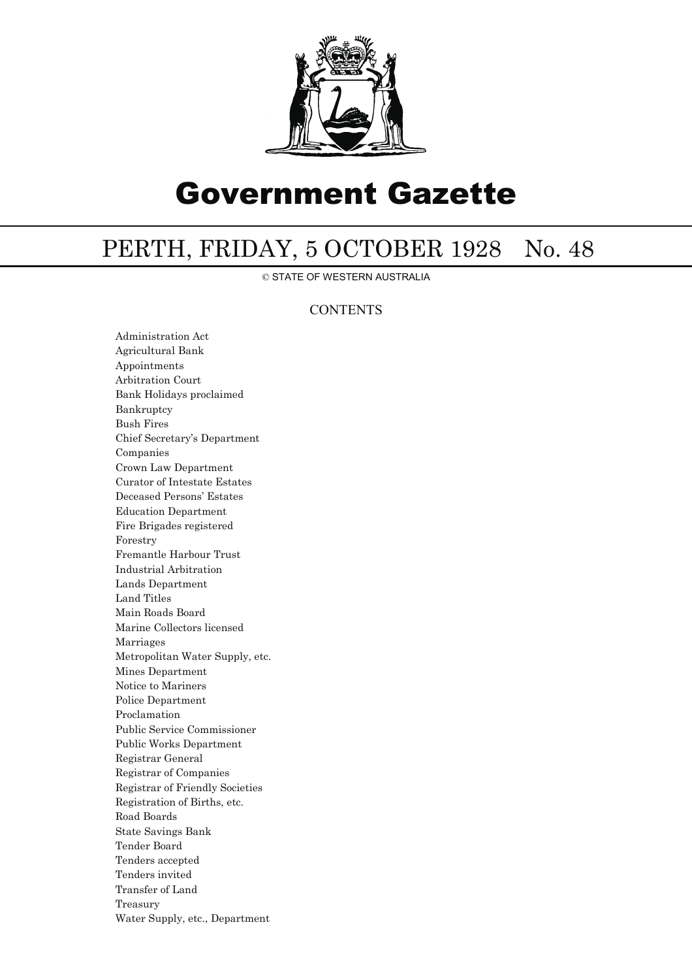

# Government Gazette

# PERTH, FRIDAY, 5 OCTOBER 1928 No. 48

© STATE OF WESTERN AUSTRALIA

## **CONTENTS**

Administration Act Agricultural Bank Appointments Arbitration Court Bank Holidays proclaimed Bankruptcy Bush Fires Chief Secretary's Department Companies Crown Law Department Curator of Intestate Estates Deceased Persons' Estates Education Department Fire Brigades registered Forestry Fremantle Harbour Trust Industrial Arbitration Lands Department Land Titles Main Roads Board Marine Collectors licensed Marriages Metropolitan Water Supply, etc. Mines Department Notice to Mariners Police Department Proclamation Public Service Commissioner Public Works Department Registrar General Registrar of Companies Registrar of Friendly Societies Registration of Births, etc. Road Boards State Savings Bank Tender Board Tenders accepted Tenders invited Transfer of Land Treasury Water Supply, etc., Department